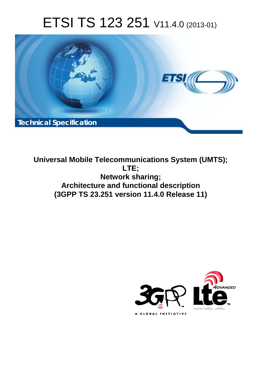# ETSI TS 123 251 V11.4.0 (2013-01)



**Universal Mobile Telecommunications System (UMTS); LTE; Network sharing; Architecture and functional description (3GPP TS 23.251 version 11.4.0 Release 11)** 

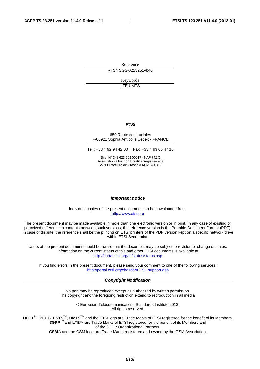Reference RTS/TSGS-0223251vb40

> Keywords LTE,UMTS

#### *ETSI*

#### 650 Route des Lucioles F-06921 Sophia Antipolis Cedex - FRANCE

Tel.: +33 4 92 94 42 00 Fax: +33 4 93 65 47 16

Siret N° 348 623 562 00017 - NAF 742 C Association à but non lucratif enregistrée à la Sous-Préfecture de Grasse (06) N° 7803/88

#### *Important notice*

Individual copies of the present document can be downloaded from: [http://www.etsi.org](http://www.etsi.org/)

The present document may be made available in more than one electronic version or in print. In any case of existing or perceived difference in contents between such versions, the reference version is the Portable Document Format (PDF). In case of dispute, the reference shall be the printing on ETSI printers of the PDF version kept on a specific network drive within ETSI Secretariat.

Users of the present document should be aware that the document may be subject to revision or change of status. Information on the current status of this and other ETSI documents is available at <http://portal.etsi.org/tb/status/status.asp>

If you find errors in the present document, please send your comment to one of the following services: [http://portal.etsi.org/chaircor/ETSI\\_support.asp](http://portal.etsi.org/chaircor/ETSI_support.asp)

#### *Copyright Notification*

No part may be reproduced except as authorized by written permission. The copyright and the foregoing restriction extend to reproduction in all media.

> © European Telecommunications Standards Institute 2013. All rights reserved.

DECT<sup>™</sup>, PLUGTESTS<sup>™</sup>, UMTS<sup>™</sup> and the ETSI logo are Trade Marks of ETSI registered for the benefit of its Members. **3GPP**TM and **LTE**™ are Trade Marks of ETSI registered for the benefit of its Members and of the 3GPP Organizational Partners.

**GSM**® and the GSM logo are Trade Marks registered and owned by the GSM Association.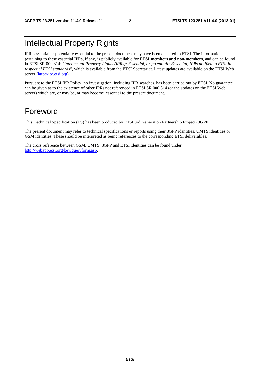# Intellectual Property Rights

IPRs essential or potentially essential to the present document may have been declared to ETSI. The information pertaining to these essential IPRs, if any, is publicly available for **ETSI members and non-members**, and can be found in ETSI SR 000 314: *"Intellectual Property Rights (IPRs); Essential, or potentially Essential, IPRs notified to ETSI in respect of ETSI standards"*, which is available from the ETSI Secretariat. Latest updates are available on the ETSI Web server [\(http://ipr.etsi.org](http://webapp.etsi.org/IPR/home.asp)).

Pursuant to the ETSI IPR Policy, no investigation, including IPR searches, has been carried out by ETSI. No guarantee can be given as to the existence of other IPRs not referenced in ETSI SR 000 314 (or the updates on the ETSI Web server) which are, or may be, or may become, essential to the present document.

# Foreword

This Technical Specification (TS) has been produced by ETSI 3rd Generation Partnership Project (3GPP).

The present document may refer to technical specifications or reports using their 3GPP identities, UMTS identities or GSM identities. These should be interpreted as being references to the corresponding ETSI deliverables.

The cross reference between GSM, UMTS, 3GPP and ETSI identities can be found under [http://webapp.etsi.org/key/queryform.asp.](http://webapp.etsi.org/key/queryform.asp)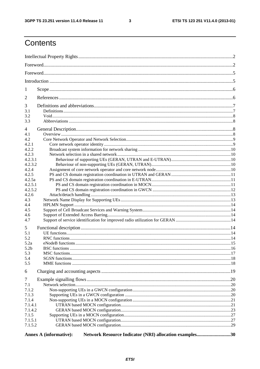$\overline{\mathbf{3}}$ 

# Contents

| 1                  |                                                                                         |  |  |  |  |  |  |  |  |  |  |
|--------------------|-----------------------------------------------------------------------------------------|--|--|--|--|--|--|--|--|--|--|
| 2                  |                                                                                         |  |  |  |  |  |  |  |  |  |  |
| 3                  |                                                                                         |  |  |  |  |  |  |  |  |  |  |
| 3.1                |                                                                                         |  |  |  |  |  |  |  |  |  |  |
| 3.2                |                                                                                         |  |  |  |  |  |  |  |  |  |  |
| 3.3                |                                                                                         |  |  |  |  |  |  |  |  |  |  |
| 4                  |                                                                                         |  |  |  |  |  |  |  |  |  |  |
| 4.1                |                                                                                         |  |  |  |  |  |  |  |  |  |  |
| 4.2                |                                                                                         |  |  |  |  |  |  |  |  |  |  |
| 4.2.1              |                                                                                         |  |  |  |  |  |  |  |  |  |  |
| 4.2.2              |                                                                                         |  |  |  |  |  |  |  |  |  |  |
| 4.2.3              |                                                                                         |  |  |  |  |  |  |  |  |  |  |
| 4.2.3.1            |                                                                                         |  |  |  |  |  |  |  |  |  |  |
| 4.2.3.2            |                                                                                         |  |  |  |  |  |  |  |  |  |  |
| 4.2.4              |                                                                                         |  |  |  |  |  |  |  |  |  |  |
| 4.2.5              |                                                                                         |  |  |  |  |  |  |  |  |  |  |
| 4.2.5a             |                                                                                         |  |  |  |  |  |  |  |  |  |  |
| 4.2.5.1<br>4.2.5.2 |                                                                                         |  |  |  |  |  |  |  |  |  |  |
| 4.2.6              |                                                                                         |  |  |  |  |  |  |  |  |  |  |
| 4.3                |                                                                                         |  |  |  |  |  |  |  |  |  |  |
| 4.4                |                                                                                         |  |  |  |  |  |  |  |  |  |  |
| 4.5                |                                                                                         |  |  |  |  |  |  |  |  |  |  |
| 4.6                |                                                                                         |  |  |  |  |  |  |  |  |  |  |
| 4.7                |                                                                                         |  |  |  |  |  |  |  |  |  |  |
|                    |                                                                                         |  |  |  |  |  |  |  |  |  |  |
| 5<br>5.1           |                                                                                         |  |  |  |  |  |  |  |  |  |  |
| 5.2                |                                                                                         |  |  |  |  |  |  |  |  |  |  |
| 5.2a               |                                                                                         |  |  |  |  |  |  |  |  |  |  |
| 5.2 <sub>b</sub>   |                                                                                         |  |  |  |  |  |  |  |  |  |  |
| 5.3                |                                                                                         |  |  |  |  |  |  |  |  |  |  |
| 5.4                |                                                                                         |  |  |  |  |  |  |  |  |  |  |
| 5.5                |                                                                                         |  |  |  |  |  |  |  |  |  |  |
| 6                  |                                                                                         |  |  |  |  |  |  |  |  |  |  |
| 7                  |                                                                                         |  |  |  |  |  |  |  |  |  |  |
| 7.1                |                                                                                         |  |  |  |  |  |  |  |  |  |  |
| 7.1.2              |                                                                                         |  |  |  |  |  |  |  |  |  |  |
| 7.1.3              |                                                                                         |  |  |  |  |  |  |  |  |  |  |
| 7.1.4              |                                                                                         |  |  |  |  |  |  |  |  |  |  |
| 7.1.4.1            |                                                                                         |  |  |  |  |  |  |  |  |  |  |
| 7.1.4.2            |                                                                                         |  |  |  |  |  |  |  |  |  |  |
| 7.1.5              |                                                                                         |  |  |  |  |  |  |  |  |  |  |
| 7.1.5.1            |                                                                                         |  |  |  |  |  |  |  |  |  |  |
| 7.1.5.2            |                                                                                         |  |  |  |  |  |  |  |  |  |  |
|                    |                                                                                         |  |  |  |  |  |  |  |  |  |  |
|                    | Network Resource Indicator (NRI) allocation examples30<br><b>Annex A (informative):</b> |  |  |  |  |  |  |  |  |  |  |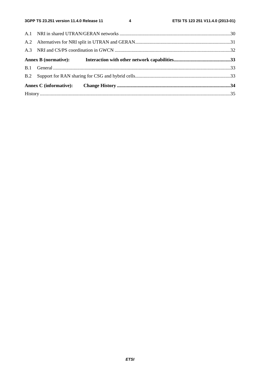$\overline{\mathbf{4}}$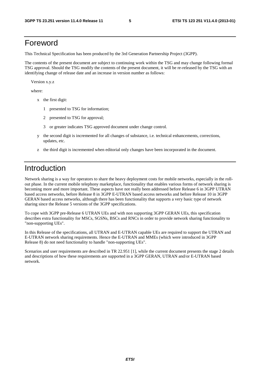### Foreword

This Technical Specification has been produced by the 3rd Generation Partnership Project (3GPP).

The contents of the present document are subject to continuing work within the TSG and may change following formal TSG approval. Should the TSG modify the contents of the present document, it will be re-released by the TSG with an identifying change of release date and an increase in version number as follows:

Version x.y.z

where:

- x the first digit:
	- 1 presented to TSG for information;
	- 2 presented to TSG for approval;
	- 3 or greater indicates TSG approved document under change control.
- y the second digit is incremented for all changes of substance, i.e. technical enhancements, corrections, updates, etc.
- z the third digit is incremented when editorial only changes have been incorporated in the document.

### Introduction

Network sharing is a way for operators to share the heavy deployment costs for mobile networks, especially in the rollout phase. In the current mobile telephony marketplace, functionality that enables various forms of network sharing is becoming more and more important. These aspects have not really been addressed before Release 6 in 3GPP UTRAN based access networks, before Release 8 in 3GPP E-UTRAN based access networks and before Release 10 in 3GPP GERAN based access networks, although there has been functionality that supports a very basic type of network sharing since the Release 5 versions of the 3GPP specifications.

To cope with 3GPP pre-Release 6 UTRAN UEs and with non supporting 3GPP GERAN UEs, this specification describes extra functionality for MSCs, SGSNs, BSCs and RNCs in order to provide network sharing functionality to "non-supporting UEs".

In this Release of the specifications, all UTRAN and E-UTRAN capable UEs are required to support the UTRAN and E-UTRAN network sharing requirements. Hence the E-UTRAN and MMEs (which were introduced in 3GPP Release 8) do not need functionality to handle "non-supporting UEs".

Scenarios and user requirements are described in TR 22.951 [1], while the current document presents the stage 2 details and descriptions of how these requirements are supported in a 3GPP GERAN, UTRAN and/or E-UTRAN based network.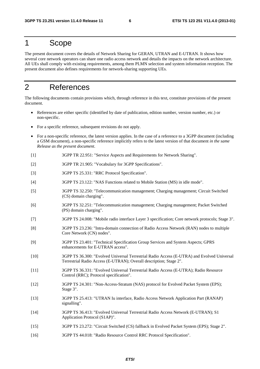### 1 Scope

The present document covers the details of Network Sharing for GERAN, UTRAN and E-UTRAN. It shows how several core network operators can share one radio access network and details the impacts on the network architecture. All UEs shall comply with existing requirements, among them PLMN selection and system information reception. The present document also defines requirements for network-sharing supporting UEs.

### 2 References

The following documents contain provisions which, through reference in this text, constitute provisions of the present document.

- References are either specific (identified by date of publication, edition number, version number, etc.) or non-specific.
- For a specific reference, subsequent revisions do not apply.
- For a non-specific reference, the latest version applies. In the case of a reference to a 3GPP document (including a GSM document), a non-specific reference implicitly refers to the latest version of that document *in the same Release as the present document*.
- [1] 3GPP TR 22.951: "Service Aspects and Requirements for Network Sharing".
- [2] 3GPP TR 21.905: "Vocabulary for 3GPP Specifications".
- [3] 3GPP TS 25.331: "RRC Protocol Specification".
- [4] 3GPP TS 23.122: "NAS Functions related to Mobile Station (MS) in idle mode".
- [5] 3GPP TS 32.250: "Telecommunication management; Charging management; Circuit Switched (CS) domain charging".
- [6] 3GPP TS 32.251: "Telecommunication management; Charging management; Packet Switched (PS) domain charging".
- [7] 3GPP TS 24.008: "Mobile radio interface Layer 3 specification; Core network protocols; Stage 3".
- [8] 3GPP TS 23.236: "Intra-domain connection of Radio Access Network (RAN) nodes to multiple Core Network (CN) nodes".
- [9] 3GPP TS 23.401: "Technical Specification Group Services and System Aspects; GPRS enhancements for E-UTRAN access".
- [10] 3GPP TS 36.300: "Evolved Universal Terrestrial Radio Access (E-UTRA) and Evolved Universal Terrestrial Radio Access (E-UTRAN); Overall description; Stage 2".
- [11] 3GPP TS 36.331: "Evolved Universal Terrestrial Radio Access (E-UTRA); Radio Resource Control (RRC); Protocol specification".
- [12] 3GPP TS 24.301: "Non-Access-Stratum (NAS) protocol for Evolved Packet System (EPS); Stage 3".
- [13] 3GPP TS 25.413: "UTRAN Iu interface, Radio Access Network Application Part (RANAP) signalling".
- [14] 3GPP TS 36.413: "Evolved Universal Terrestrial Radio Access Network (E-UTRAN); S1 Application Protocol (S1AP)".
- [15] 3GPP TS 23.272: "Circuit Switched (CS) fallback in Evolved Packet System (EPS); Stage 2".
- [16] 3GPP TS 44.018: "Radio Resource Control RRC Protocol Specification".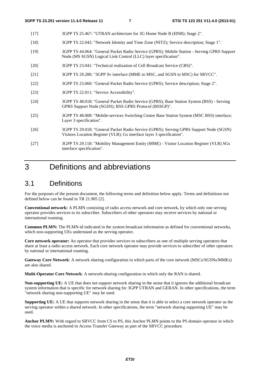- [17] 3GPP TS 25.467: "UTRAN architecture for 3G Home Node B (HNB); Stage 2".
- [18] 3GPP TS 22.042: "Network Identity and Time Zone (NITZ); Service description; Stage 1".
- [19] 3GPP TS 44.064: "General Packet Radio Service (GPRS); Mobile Station Serving GPRS Support Node (MS SGSN) Logical Link Control (LLC) layer specification".
- [20] 3GPP TS 23.041: "Technical realization of Cell Broadcast Service (CBS)".
- [21] 3GPP TS 29.280: "3GPP Sv interface (MME to MSC, and SGSN to MSC) for SRVCC".
- [22] 3GPP TS 23.060: "General Packet Radio Service (GPRS); Service description; Stage 2".
- [23] 3GPP TS 22.011: "Service Accessibility".
- [24] 3GPP TS 48.018: "General Packet Radio Service (GPRS); Base Station System (BSS) Serving GPRS Support Node (SGSN); BSS GPRS Protocol (BSSGP)".
- [25] 3GPP TS 48.008: "Mobile-services Switching Centre Base Station System (MSC BSS) interface; Layer 3 specification".
- [26] 3GPP TS 29.018: "General Packet Radio Service (GPRS); Serving GPRS Support Node (SGSN) Visitors Location Register (VLR); Gs interface layer 3 specification".
- [27] 3GPP TS 29.118: "Mobility Management Entity (MME) Visitor Location Register (VLR) SGs interface specification".

# 3 Definitions and abbreviations

### 3.1 Definitions

For the purposes of the present document, the following terms and definition below apply. Terms and definitions not defined below can be found in TR 21.905 [2].

**Conventional network:** A PLMN consisting of radio access network and core network, by which only one serving operator provides services to its subscriber. Subscribers of other operators may receive services by national or international roaming.

**Common PLMN:** The PLMN-id indicated in the system broadcast information as defined for conventional networks, which non-supporting UEs understand as the serving operator.

**Core network operator:** An operator that provides services to subscribers as one of multiple serving operators that share at least a radio access network. Each core network operator may provide services to subscriber of other operators by national or international roaming.

**Gateway Core Network**: A network sharing configuration in which parts of the core network (MSCs/SGSNs/MMEs) are also shared.

**Multi-Operator Core Network**: A network-sharing configuration in which only the RAN is shared.

**Non-supporting UE:** A UE that does not support network sharing in the sense that it ignores the additional broadcast system information that is specific for network sharing for 3GPP UTRAN and GERAN. In other specifications, the term "network sharing non-supporting UE" may be used.

**Supporting UE:** A UE that supports network sharing in the sense that it is able to select a core network operator as the serving operator within a shared network. In other specifications, the term "network sharing supporting UE" may be used.

**Anchor PLMN:** With regard to SRVCC from CS to PS, this Anchor PLMN points to the PS domain operator in which the voice media is anchored in Access Transfer Gateway as part of the SRVCC procedure.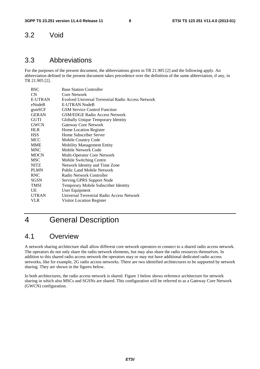### 3.2 Void

### 3.3 Abbreviations

For the purposes of the present document, the abbreviations given in TR 21.905 [2] and the following apply. An abbreviation defined in the present document takes precedence over the definition of the same abbreviation, if any, in TR 21.905 [2].

| <b>Base Station Controller</b>                     |
|----------------------------------------------------|
| Core Network                                       |
| Evolved Universal Terrestrial Radio Access Network |
| <b>E-UTRAN NodeB</b>                               |
| <b>GSM</b> Service Control Function                |
| <b>GSM/EDGE Radio Access Network</b>               |
| Globally Unique Temporary Identity                 |
| Gateway Core Network                               |
| Home Location Register                             |
| Home Subscriber Server                             |
| Mobile Country Code                                |
| <b>Mobility Management Entity</b>                  |
| Mobile Network Code                                |
| Multi-Operator Core Network                        |
| Mobile Switching Centre                            |
| Network Identity and Time Zone                     |
| <b>Public Land Mobile Network</b>                  |
| Radio Network Controller                           |
| Serving GPRS Support Node                          |
| Temporary Mobile Subscriber Identity               |
| User Equipment                                     |
| Universal Terrestrial Radio Access Network         |
| Visitor Location Register                          |
|                                                    |

# 4 General Description

### 4.1 Overview

A network sharing architecture shall allow different core network operators to connect to a shared radio access network. The operators do not only share the radio network elements, but may also share the radio resources themselves. In addition to this shared radio access network the operators may or may not have additional dedicated radio access networks, like for example, 2G radio access networks. There are two identified architectures to be supported by network sharing. They are shown in the figures below.

In both architectures, the radio access network is shared. Figure 1 below shows reference architecture for network sharing in which also MSCs and SGSNs are shared. This configuration will be referred to as a Gateway Core Network (GWCN) configuration.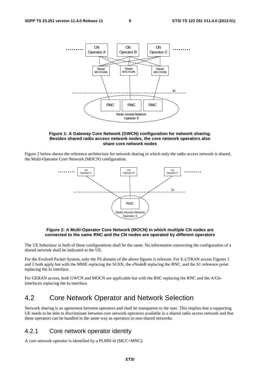

#### **Figure 1: A Gateway Core Network (GWCN) configuration for network sharing. Besides shared radio access network nodes, the core network operators also share core network nodes**

Figure 2 below shows the reference architecture for network sharing in which only the radio access network is shared, the Multi-Operator Core Network (MOCN) configuration.



#### **Figure 2: A Multi-Operator Core Network (MOCN) in which multiple CN nodes are connected to the same RNC and the CN nodes are operated by different operators**

The UE behaviour in both of these configurations shall be the same. No information concerning the configuration of a shared network shall be indicated to the UE.

For the Evolved Packet System, only the PS domain of the above figures is relevant. For E-UTRAN access Figures 1 and 2 both apply but with the MME replacing the SGSN, the eNodeB replacing the RNC, and the S1 reference point replacing the Iu interface.

For GERAN access, both GWCN and MOCN are applicable but with the BSC replacing the RNC and the A/Gb-Interfaces replacing the Iu interface.

### 4.2 Core Network Operator and Network Selection

Network sharing is an agreement between operators and shall be transparent to the user. This implies that a supporting UE needs to be able to discriminate between core network operators available in a shared radio access network and that these operators can be handled in the same way as operators in non-shared networks.

#### 4.2.1 Core network operator identity

A core network operator is identified by a PLMN-id (MCC+MNC).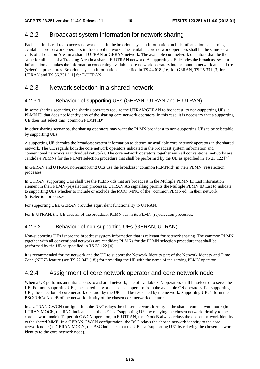#### 4.2.2 Broadcast system information for network sharing

Each cell in shared radio access network shall in the broadcast system information include information concerning available core network operators in the shared network. The available core network operators shall be the same for all cells of a Location Area in a shared UTRAN or GERAN network. The available core network operators shall be the same for all cells of a Tracking Area in a shared E-UTRAN network. A supporting UE decodes the broadcast system information and takes the information concerning available core network operators into account in network and cell (re- )selection procedures. Broadcast system information is specified in TS 44.018 [16] for GERAN, TS 25.331 [3] for UTRAN and TS 36.331 [11] for E-UTRAN.

#### 4.2.3 Network selection in a shared network

#### 4.2.3.1 Behaviour of supporting UEs (GERAN, UTRAN and E-UTRAN)

In some sharing scenarios, the sharing operators require the UTRAN/GERAN to broadcast, to non-supporting UEs, a PLMN ID that does not identify any of the sharing core network operators. In this case, it is necessary that a supporting UE does not select this "common PLMN ID".

In other sharing scenarios, the sharing operators may want the PLMN broadcast to non-supporting UEs to be selectable by supporting UEs.

A supporting UE decodes the broadcast system information to determine available core network operators in the shared network. The UE regards both the core network operators indicated in the broadcast system information and conventional networks as individual networks. The core network operators together with all conventional networks are candidate PLMNs for the PLMN selection procedure that shall be performed by the UE as specified in TS 23.122 [4].

In GERAN and UTRAN, non-supporting UEs use the broadcast "common PLMN-id" in their PLMN (re)selection processes.

In UTRAN, supporting UEs shall use the PLMN-ids that are broadcast in the Multiple PLMN ID List information element in their PLMN (re)selection processes. UTRAN AS signalling permits the Multiple PLMN ID List to indicate to supporting UEs whether to include or exclude the MCC+MNC of the "common PLMN-id" in their network (re)selection processes.

For supporting UEs, GERAN provides equivalent functionality to UTRAN.

For E-UTRAN, the UE uses all of the broadcast PLMN-ids in its PLMN (re)selection processes.

#### 4.2.3.2 Behaviour of non-supporting UEs (GERAN, UTRAN)

Non-supporting UEs ignore the broadcast system information that is relevant for network sharing. The common PLMN together with all conventional networks are candidate PLMNs for the PLMN selection procedure that shall be performed by the UE as specified in TS 23.122 [4].

It is recommended for the network and the UE to support the Network Identity part of the Network Identity and Time Zone (NITZ) feature (see TS 22.042 [18]) for providing the UE with the name of the serving PLMN operator.

#### 4.2.4 Assignment of core network operator and core network node

When a UE performs an initial access to a shared network, one of available CN operators shall be selected to serve the UE. For non-supporting UEs, the shared network selects an operator from the available CN operators. For supporting UEs, the selection of core network operator by the UE shall be respected by the network. Supporting UEs inform the BSC/RNC/eNodeB of the network identity of the chosen core network operator.

In a UTRAN GWCN configuration, the RNC relays the chosen network identity to the shared core network node (in UTRAN MOCN, the RNC indicates that the UE is a "supporting UE" by relaying the chosen network identity to the core network node). To permit GWCN operation, in E-UTRAN, the eNodeB always relays the chosen network identity to the shared MME. In a GERAN GWCN configuration, the BSC relays the chosen network identity to the core network node (in GERAN MOCN, the BSC indicates that the UE is a "supporting UE" by relaying the chosen network identity to the core network node).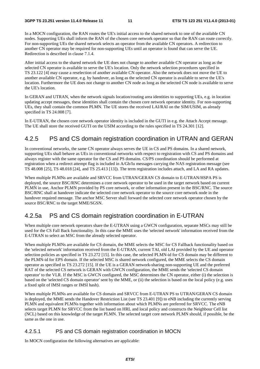In a MOCN configuration, the RAN routes the UE's initial access to the shared network to one of the available CN nodes. Supporting UEs shall inform the RAN of the chosen core network operator so that the RAN can route correctly. For non-supporting UEs the shared network selects an operator from the available CN operators. A redirection to another CN operator may be required for non-supporting UEs until an operator is found that can serve the UE. Redirection is described in clause 7.1.4.

After initial access to the shared network the UE does not change to another available CN operator as long as the selected CN operator is available to serve the UE's location. Only the network selection procedures specified in TS 23.122 [4] may cause a reselection of another available CN operator. Also the network does not move the UE to another available CN operator, e.g. by handover, as long as the selected CN operator is available to serve the UE's location. Furthermore the UE does not change to another CN node as long as the selected CN node is available to serve the UE's location.

In GERAN and UTRAN, when the network signals location/routing area identities to supporting UEs, e.g. in location updating accept messages, these identities shall contain the chosen core network operator identity. For non-supporting UEs, they shall contain the common PLMN. The UE stores the received LAI/RAI on the SIM/USIM, as already specified in TS 24.008 [7].

In E-UTRAN, the chosen core network operator identity is included in the GUTI in e.g. the Attach Accept message. The UE shall store the received GUTI on the USIM according to the rules specified in TS 24.301 [12].

#### 4.2.5 PS and CS domain registration coordination in UTRAN and GERAN

In conventional networks, the same CN operator always serves the UE in CS and PS domains. In a shared network, supporting UEs shall behave as UEs in conventional networks with respect to registration with CS and PS domains and always register with the same operator for the CS and PS domains. CS/PS coordination should be performed at registration when a redirect attempt flag is included in A/Gb/Iu messages carrying the NAS registration message (see TS 48.008 [25], TS 48.018 [24], and TS 25.413 [13]). The term registration includes attach, and LA and RA updates.

When multiple PLMNs are available and SRVCC from UTRAN/GERAN CS domain to E-UTRAN/HSPA PS is deployed, the source BSC/RNC determines a core network operator to be used in the target network based on current PLMN in use, Anchor PLMN provided by PS core network, or other information present in the BSC/RNC. The source BSC/RNC shall at handover indicate the selected core network operator to the source core network node in the handover required message. The anchor MSC Server shall forward the selected core network operator chosen by the source BSC/RNC to the target MME/SGSN.

#### 4.2.5a PS and CS domain registration coordination in E-UTRAN

When multiple core network operators share the E-UTRAN using a GWCN configuration, separate MSCs may still be used for the CS Fall Back functionality. In this case the MME uses the 'selected network' information received from the E-UTRAN to select an MSC from the already selected operator.

When multiple PLMNs are available for CS domain, the MME selects the MSC for CS Fallback functionality based on the 'selected network' information received from the E-UTRAN, current TAI, old LAI provided by the UE and operator selection policies as specified in TS 23.272 [15]. In this case, the selected PLMN-id for CS domain may be different to the PLMN-id for EPS domain. If the selected MSC is shared network configured, the MME selects the CS domain operator as specified in TS 23.272 [15]. If the UE is a GERAN network-sharing non-supporting UE and the preferred RAT of the selected CS network is GERAN with GWCN configuration, the MME sends the 'selected CS domain operator' to the VLR. If the MSC is GWCN configured, the MSC determines the CN operator, either (i) the selection is based on the 'selected CS domain operator' sent by the MME, or (ii) the selection is based on the local policy (e.g. uses a fixed split of IMSI ranges or IMSI hash).

When multiple PLMNs are available for CS domain and SRVCC from E-UTRAN PS to UTRAN/GERAN CS domain is deployed, the MME sends the Handover Restriction List (see TS 23.401 [9]) to eNB including the currently serving PLMN and equivalent PLMNs together with information about which PLMNs are preferred for SRVCC. The eNB selects target PLMN for SRVCC from the list based on HRL and local policy and constructs the Neighbour Cell list (NCL) based on this knowledge of the target PLMN. The selected target core network PLMN should, if possible, be the same as the one in use.

#### 4.2.5.1 PS and CS domain registration coordination in MOCN

In MOCN configuration the following alternatives are applicable: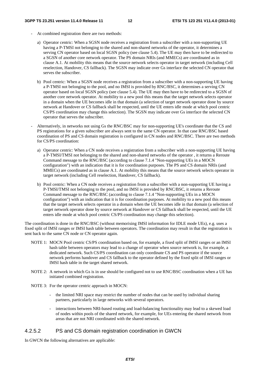- At combined registration there are two methods:
	- a) Operator centric: When a SGSN node receives a registration from a subscriber with a non-supporting UE having a P-TMSI not belonging to the shared and non-shared networks of the operator, it determines a serving CN operator based on local SGSN policy (see clause 5.4). The UE may then have to be redirected to a SGSN of another core network operator. The PS domain NRIs (and MMECs) are coordinated as in clause A.1. At mobility this means that the source network selects operator in target network (including Cell reselection, Handover, CS fallback). The SGSN may indicate over Gs interface the selected CN operator that serves the subscriber.
	- b) Pool centric: When a SGSN node receives a registration from a subscriber with a non-supporting UE having a P-TMSI not belonging to the pool, and no IMSI is provided by RNC/BSC, it determines a serving CN operator based on local SGSN policy (see clause 5.4). The UE may then have to be redirected to a SGSN of another core network operator. At mobility to a new pool this means that the target network selects operator in a domain when the UE becomes idle in that domain (a selection of target network operator done by source network at Handover or CS fallback shall be respected, until the UE enters idle mode at which pool centric CS/PS coordination may change this selection). The SGSN may indicate over Gs interface the selected CN operator that serves the subscriber.
- Alternatively, in networks not using Gs the RNC/BSC may for non-supporting UE's coordinate that the CS and PS registrations for a given subscriber are always sent to the same CN operator. In that case RNC/BSC based coordination of PS and CS domain registration is configured in CN nodes and RNC/BSC. There are two methods for CS/PS coordination:
	- a) Operator centric: When a CN node receives a registration from a subscriber with a non-supporting UE having a P-TMSI/TMSI not belonging to the shared and non-shared networks of the operator , it returns a Reroute Command message to the RNC/BSC (according to clause 7.1.4 "Non-supporting UEs in a MOCN configuration") with an indication that it is for coordination purposes. The PS and CS domain NRIs (and MMECs) are coordinated as in clause A.1. At mobility this means that the source network selects operator in target network (including Cell reselection, Handover, CS fallback).
	- b) Pool centric: When a CN node receives a registration from a subscriber with a non-supporting UE having a P-TMSI/TMSI not belonging to the pool, and no IMSI is provided by RNC/BSC, it returns a Reroute Command message to the RNC/BSC (according to clause 7.1.4 "Non-supporting UEs in a MOCN configuration") with an indication that it is for coordination purposes. At mobility to a new pool this means that the target network selects operator in a domain when the UE becomes idle in that domain (a selection of target network operator done by source network at Handover or CS fallback shall be respected, until the UE enters idle mode at which pool centric CS/PS coordination may change this selection).

The coordination is done in the RNC/BSC (without memorising IMSI information for IDLE mode UEs), e.g. uses a fixed split of IMSI ranges or IMSI hash table between operators. The coordination may result in that the registration is sent back to the same CN node or CN operator again.

- NOTE 1: MOCN Pool centric CS/PS coordination based on, for example, a fixed split of IMSI ranges or an IMSI hash table between operators may lead to a change of operator when source network is, for example, a dedicated network. Such CS/PS coordination can only coordinate CS and PS operator if the source network performs handover and CS fallback to the operator defined by the fixed split of IMSI ranges or IMSI hash table in the target shared network.
- NOTE 2: A network in which Gs is in use should be configured not to use RNC/BSC coordination when a UE has initiated combined registration.
- NOTE 3: For the operator centric approach in MOCN:
	- the limited NRI space may restrict the number of nodes that can be used by individual sharing partners, particularly in large networks with several operators.
	- interactions between NRI-based routing and load-balancing functionality may lead to a skewed load of nodes within pools of the shared network, for example, for UEs entering the shared network from areas that are not NRI coordinated with the shared network.

#### 4.2.5.2 PS and CS domain registration coordination in GWCN

In GWCN the following alternatives are applicable: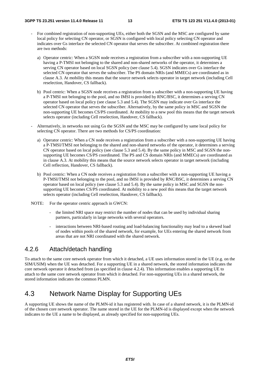- For combined registration of non-supporting UEs, either both the SGSN and the MSC are configured by same local policy for selecting CN operator, or SGSN is configured with local policy selecting CN operator and indicates over Gs interface the selected CN operator that serves the subscriber. At combined registration there are two methods:
	- a) Operator centric: When a SGSN node receives a registration from a subscriber with a non-supporting UE having a P-TMSI not belonging to the shared and non-shared networks of the operator, it determines a serving CN operator based on local SGSN policy (see clause 5.4). SGSN indicates over Gs interface the selected CN operator that serves the subscriber. The PS domain NRIs (and MMECs) are coordinated as in clause A.3. At mobility this means that the source network selects operator in target network (including Cell reselection, Handover, CS fallback).
	- b) Pool centric: When a SGSN node receives a registration from a subscriber with a non-supporting UE having a P-TMSI not belonging to the pool, and no IMSI is provided by RNC/BSC, it determines a serving CN operator based on local policy (see clause 5.3 and 5.4). The SGSN may indicate over Gs interface the selected CN operator that serves the subscriber. Alternatively, by the same policy in MSC and SGSN the non-supporting UE becomes CS/PS coordinated. At mobility to a new pool this means that the target network selects operator (including Cell reselection, Handover, CS fallback).
- Alternatively, in networks not using Gs the SGSN and the MSC may be configured by same local policy for selecting CN operator. There are two methods for CS/PS coordination:
	- a) Operator centric: When a CN node receives a registration from a subscriber with a non-supporting UE having a P-TMSI/TMSI not belonging to the shared and non-shared networks of the operator, it determines a serving CN operator based on local policy (see clause 5.3 and 5.4). By the same policy in MSC and SGSN the nonsupporting UE becomes CS/PS coordinated. The PS and CS domain NRIs (and MMECs) are coordinated as in clause A.3. At mobility this means that the source network selects operator in target network (including Cell reflection, Handover, CS fallback).
	- b) Pool centric: When a CN node receives a registration from a subscriber with a non-supporting UE having a P-TMSI/TMSI not belonging to the pool, and no IMSI is provided by RNC/BSC, it determines a serving CN operator based on local policy (see clause 5.3 and 5.4). By the same policy in MSC and SGSN the nonsupporting UE becomes CS/PS coordinated. At mobility to a new pool this means that the target network selects operator (including Cell reselection, Handover, CS fallback).
- NOTE: For the operator centric approach in GWCN:
	- the limited NRI space may restrict the number of nodes that can be used by individual sharing partners, particularly in large networks with several operators.
	- interactions between NRI-based routing and load-balancing functionality may lead to a skewed load of nodes within pools of the shared network, for example, for UEs entering the shared network from areas that are not NRI coordinated with the shared network.

#### 4.2.6 Attach/detach handling

To attach to the same core network operator from which it detached, a UE uses information stored in the UE (e.g. on the SIM/USIM) when the UE was detached. For a supporting UE in a shared network, the stored information indicates the core network operator it detached from (as specified in clause 4.2.4). This information enables a supporting UE to attach to the same core network operator from which it detached. For non-supporting UEs in a shared network, the stored information indicates the common PLMN.

### 4.3 Network Name Display for Supporting UEs

A supporting UE shows the name of the PLMN-id it has registered with. In case of a shared network, it is the PLMN-id of the chosen core network operator. The name stored in the UE for the PLMN-id is displayed except when the network indicates to the UE a name to be displayed, as already specified for non-supporting UEs.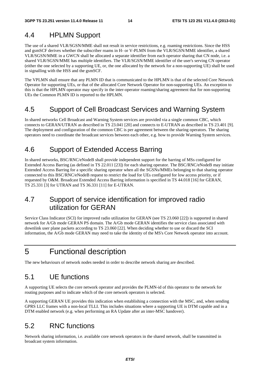### 4.4 HPLMN Support

The use of a shared VLR/SGSN/MME shall not result in service restrictions, e.g. roaming restrictions. Since the HSS and gsmSCF derives whether the subscriber roams in H- or V-PLMN from the VLR/SGSN/MME identifier, a shared VLR/SGSN/MME in a GWCN shall be allocated a separate identifier from each operator sharing that CN node, i.e. a shared VLR/SGSN/MME has multiple identifiers. The VLR/SGSN/MME identifier of the user's serving CN operator (either the one selected by a supporting UE, or, the one allocated by the network for a non-supporting UE) shall be used in signalling with the HSS and the gsmSCF.

The VPLMN shall ensure that any PLMN ID that is communicated to the HPLMN is that of the selected Core Network Operator for supporting UEs, or that of the allocated Core Network Operator for non-supporting UEs. An exception to this is that the HPLMN operator may specify in the inter-operator roaming/sharing agreement that for non-supporting UEs the Common PLMN ID is reported to the HPLMN.

### 4.5 Support of Cell Broadcast Services and Warning System

In shared networks Cell Broadcast and Warning System services are provided via a single common CBC, which connects to GERAN/UTRAN as described in TS 23.041 [20] and connects to E-UTRAN as described in TS 23.401 [9]. The deployment and configuration of the common CBC is per agreement between the sharing operators. The sharing operators need to coordinate the broadcast services between each other, e.g. how to provide Warning System services.

# 4.6 Support of Extended Access Barring

In shared networks, BSC/RNC/eNodeB shall provide independent support for the barring of MSs configured for Extended Access Barring (as defined in TS 22.011 [23]) for each sharing operator. The BSC/RNC/eNodeB may initiate Extended Access Barring for a specific sharing operator when all the SGSNs/MMEs belonging to that sharing operator connected to this BSC/RNC/eNodeB request to restrict the load for UEs configured for low access priority, or if requested by O&M. Broadcast Extended Access Barring information is specified in TS 44.018 [16] for GERAN, TS 25.331 [3] for UTRAN and TS 36.331 [11] for E-UTRAN.

### 4.7 Support of service identification for improved radio utilization for GERAN

Service Class Indicator (SCI) for improved radio utilization for GERAN (see TS 23.060 [22]) is supported in shared network for A/Gb mode GERAN PS domain. The A/Gb mode GERAN identifies the service class associated with downlink user plane packets according to TS 23.060 [22]. When deciding whether to use or discard the SCI information, the A/Gb mode GERAN may need to take the identity of the MS's Core Network operator into account.

# 5 Functional description

The new behaviours of network nodes needed in order to describe network sharing are described.

### 5.1 UE functions

A supporting UE selects the core network operator and provides the PLMN-id of this operator to the network for routing purposes and to indicate which of the core network operators is selected.

A supporting GERAN UE provides this indication when establishing a connection with the MSC, and, when sending GPRS LLC frames with a non-local TLLI. This includes situations where a supporting UE is DTM capable and in a DTM enabled network (e.g. when performing an RA Update after an inter-MSC handover).

### 5.2 RNC functions

Network sharing information, i.e. available core network operators in the shared network, shall be transmitted in broadcast system information.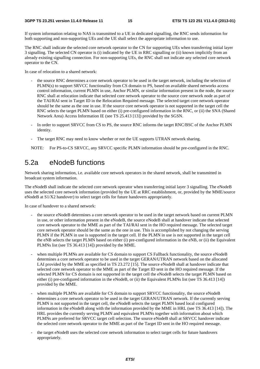If system information relating to NAS is transmitted to a UE in dedicated signalling, the RNC sends information for both supporting and non-supporting UEs and the UE shall select the appropriate information to use.

The RNC shall indicate the selected core network operator to the CN for supporting UEs when transferring initial layer 3 signalling. The selected CN operator is (i) indicated by the UE in RRC signalling or (ii) known implicitly from an already existing signalling connection. For non-supporting UEs, the RNC shall not indicate any selected core network operator to the CN.

In case of relocation to a shared network:

- the source RNC determines a core network operator to be used in the target network, including the selection of PLMN(s) to support SRVCC functionality from CS domain to PS, based on available shared networks access control information, current PLMN in use, Anchor PLMN, or similar information present in the node, the source RNC shall at relocation indicate that selected core network operator to the source core network node as part of the TAI/RAI sent in Target ID in the Relocation Required message. The selected target core network operator should be the same as the one in use. If the source core network operator is not supported in the target cell the RNC selects the target PLMN based on either (i) pre-configured information in the RNC, or (ii) the SNA (Shared Network Area) Access Information IE (see TS 25.413 [13]) provided by the SGSN.
- In order to support SRVCC from CS to PS, the source RNC informs the target RNC/BSC of the Anchor PLMN identity.
- The target RNC may need to know whether or not the UE supports UTRAN network sharing.

NOTE: For PS-to-CS SRVCC, any SRVCC specific PLMN information should be pre-configured in the RNC.

### 5.2a eNodeB functions

Network sharing information, i.e. available core network operators in the shared network, shall be transmitted in broadcast system information.

The eNodeB shall indicate the selected core network operator when transferring initial layer 3 signalling. The eNodeB uses the selected core network information (provided by the UE at RRC establishment, or, provided by the MME/source eNodeB at S1/X2 handover) to select target cells for future handovers appropriately.

In case of handover to a shared network:

- the source eNodeB determines a core network operator to be used in the target network based on current PLMN in use, or other information present in the eNodeB, the source eNodeB shall at handover indicate that selected core network operator to the MME as part of the TAI/RAI sent in the HO required message. The selected target core network operator should be the same as the one in use. This is accomplished by not changing the serving PLMN if the PLMN in use is supported in the target cell. If the PLMN in use is not supported in the target cell the eNB selects the target PLMN based on either (i) pre-configured information in the eNB, or (ii) the Equivalent PLMNs list (see TS 36.413 [14]) provided by the MME.
- when multiple PLMNs are available for CS domain to support CS Fallback functionality, the source eNodeB determines a core network operator to be used in the target GERAN/UTRAN network based on the allocated LAI provided by the MME as specified in TS 23.272 [15]. The source eNodeB shall at handover indicate that selected core network operator to the MME as part of the Target ID sent in the HO required message. If the selected PLMN for CS domain is not supported in the target cell the eNodeB selects the target PLMN based on either (i) pre-configured information in the eNodeB, or (ii) the Equivalent PLMNs list (see TS 36.413 [14]) provided by the MME.
- when multiple PLMNs are available for CS domain to support SRVCC functionality, the source eNodeB determines a core network operator to be used in the target GERAN/UTRAN network. If the currently serving PLMN is not supported in the target cell, the eNodeB selects the target PLMN based local configured information in the eNodeB along with the information provided by the MME in HRL (see TS 36.413 [14]). The HRL provides the currently serving PLMN and equivalent PLMNs together with information about which PLMNs are preferred for SRVCC target cell selection. The source eNodeB shall at SRVCC handover indicate the selected core network operator to the MME as part of the Target ID sent in the HO required message.
- the target eNodeB uses the selected core network information to select target cells for future handovers appropriately.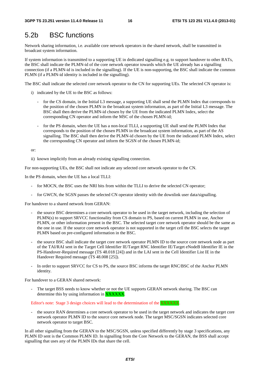### 5.2b BSC functions

Network sharing information, i.e. available core network operators in the shared network, shall be transmitted in broadcast system information.

If system information is transmitted to a supporting UE in dedicated signalling e.g. to support handover to other RATs, the BSC shall indicate the PLMN-id of the core network operator towards which the UE already has a signalling connection (if a PLMN-id is included in the signalling). If the UE is non-supporting, the BSC shall indicate the common PLMN (if a PLMN-id identity is included in the signalling).

The BSC shall indicate the selected core network operator to the CN for supporting UEs. The selected CN operator is:

- i) indicated by the UE to the BSC as follows:
	- for the CS domain, in the Initial L3 message, a supporting UE shall send the PLMN Index that corresponds to the position of the chosen PLMN in the broadcast system information, as part of the Initial L3 message. The BSC shall then derive the PLMN-id chosen by the UE from the indicated PLMN Index, select the corresponding CN operator and inform the MSC of the chosen PLMN-id;
	- for the PS domain, when the UE has a non-local TLLI, a supporting UE shall send the PLMN Index that corresponds to the position of the chosen PLMN in the broadcast system information, as part of the AS signalling. The BSC shall then derive the PLMN-id chosen by the UE from the indicated PLMN Index, select the corresponding CN operator and inform the SGSN of the chosen PLMN-id;

or:

ii) known implicitly from an already existing signalling connection.

For non-supporting UEs, the BSC shall not indicate any selected core network operator to the CN.

In the PS domain, when the UE has a local TLLI:

- for MOCN, the BSC uses the NRI bits from within the TLLI to derive the selected CN operator;
- for GWCN, the SGSN passes the selected CN operator identity with the downlink user data/signalling.

For handover to a shared network from GERAN:

- the source BSC determines a core network operator to be used in the target network, including the selection of PLMN(s) to support SRVCC functionality from CS domain to PS, based on current PLMN in use, Anchor PLMN, or other information present in the BSC. The selected target core network operator should be the same as the one in use. If the source core network operator is not supported in the target cell the BSC selects the target PLMN based on pre-configured information in the BSC.
- the source BSC shall indicate the target core network operator PLMN ID to the source core network node as part of the TAI/RAI sent in the Target Cell Identifier IE/Target RNC Identifier IE/Target eNodeB Identifier IE in the PS-Handover-Required message (TS 48.018 [24]) and in the LAI sent in the Cell Identifier List IE in the Handover Required message (TS 48.008 [25]).
- In order to support SRVCC for CS to PS, the source BSC informs the target RNC/BSC of the Anchor PLMN identity.

For handover to a GERAN shared network:

The target BSS needs to know whether or not the UE supports GERAN network sharing. The BSC can determine this by using information in XXXXXX.

Editor's note: Stage 3 design choices will lead to the determination of the XXXXXX.

the source RAN determines a core network operator to be used in the target network and indicates the target core network operator PLMN ID to the source core network node. The target MSC/SGSN indicates selected core network operator to target BSC.

In all other signalling from the GERAN to the MSC/SGSN, unless specified differently by stage 3 specifications, any PLMN ID sent is the Common PLMN ID. In signalling from the Core Network to the GERAN, the BSS shall accept signalling that uses any of the PLMN IDs that share the cell.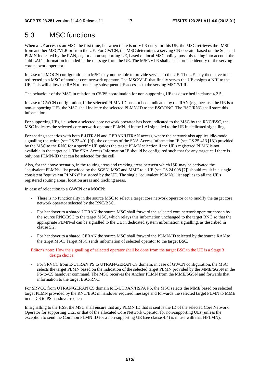# 5.3 MSC functions

When a UE accesses an MSC the first time, i.e. when there is no VLR entry for this UE, the MSC retrieves the IMSI from another MSC/VLR or from the UE. For GWCN, the MSC determines a serving CN operator based on the Selected PLMN indicated by the RAN, or, for a non-supporting UE, based on local MSC policy, possibly taking into account the "old LAI" information included in the message from the UE. The MSC/VLR shall also store the identity of the serving core network operator.

In case of a MOCN configuration, an MSC may not be able to provide service to the UE. The UE may then have to be redirected to a MSC of another core network operator. The MSC/VLR that finally serves the UE assigns a NRI to the UE. This will allow the RAN to route any subsequent UE accesses to the serving MSC/VLR.

The behaviour of the MSC in relation to CS/PS coordination for non-supporting UEs is described in clause 4.2.5.

In case of GWCN configuration, if the selected PLMN-ID has not been indicated by the RAN (e.g. because the UE is a non-supporting UE), the MSC shall indicate the selected PLMN-ID to the BSC/RNC. The BSC/RNC shall store this information.

For supporting UEs, i.e. when a selected core network operator has been indicated to the MSC by the RNC/BSC, the MSC indicates the selected core network operator PLMN-id in the LAI signalled to the UE in dedicated signalling.

For sharing scenarios with both E-UTRAN and GERAN/UTRAN access, where the network also applies idle-mode signalling reduction (see TS 23.401 [9]), the contents of the SNA Access Information IE (see TS 25.413 [13]) provided by the MSC to the RNC for a specific UE guides the target PLMN selection if the UE's registered PLMN is not available in the target cell. The SNA Access Information IE should be configured such that for any target cell there is only one PLMN-ID that can be selected for the cell.

Also, for the above scenario, in the routing areas and tracking areas between which ISR may be activated the "equivalent PLMNs" list provided by the SGSN, MSC and MME to a UE (see TS 24.008 [7]) should result in a single consistent "equivalent PLMNs" list stored by the UE. The single "equivalent PLMNs" list applies to all the UE's registered routing areas, location areas and tracking areas.

In case of relocation to a GWCN or a MOCN:

- There is no functionality in the source MSC to select a target core network operator or to modify the target core network operator selected by the RNC/BSC.
- For handover to a shared UTRAN the source MSC shall forward the selected core network operator chosen by the source RNC/BSC to the target MSC, which relays this information unchanged to the target RNC so that the appropriate PLMN-id can be signalled to the UE in dedicated system information signalling, as described in clause 5.2.
- For handover to a shared GERAN the source MSC shall forward the PLMN-ID selected by the source RAN to the target MSC. Target MSC sends information of selected operator to the target BSC.

Editor's note: How the signalling of selected operator shall be done from the target BSC to the UE is a Stage 3 design choice.

- For SRVCC from E-UTRAN PS to UTRAN/GERAN CS domain, in case of GWCN configuration, the MSC selects the target PLMN based on the indication of the selected target PLMN provided by the MME/SGSN in the PS-to-CS handover command. The MSC receives the Anchor PLMN from the MME/SGSN and forwards that information to the target BSC/RNC.

For SRVCC from UTRAN/GERAN CS domain to E-UTRAN/HSPA PS, the MSC selects the MME based on selected target PLMN provided by the RNC/BSC in handover required message and forwards the selected target PLMN to MME in the CS to PS handover request.

In signalling to the HSS, the MSC shall ensure that any PLMN ID that is sent is the ID of the selected Core Network Operator for supporting UEs, or that of the allocated Core Network Operator for non-supporting UEs (unless the exception to send the Common PLMN ID for a non-supporting UE (see clause 4.4) is in use with that HPLMN).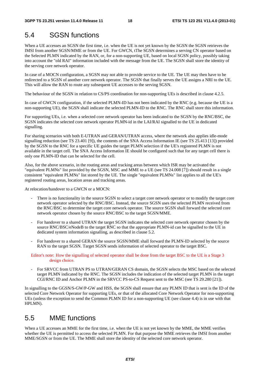# 5.4 SGSN functions

When a UE accesses an SGSN the first time, i.e. when the UE is not yet known by the SGSN the SGSN retrieves the IMSI from another SGSN/MME or from the UE. For GWCN, tThe SGSN determines a serving CN operator based on the Selected PLMN indicated by the RAN, or, for a non-supporting UE, based on local SGSN policy, possibly taking into account the "old RAI" information included with the message from the UE. The SGSN shall store the identity of the serving core network operator.

In case of a MOCN configuration, a SGSN may not able to provide service to the UE. The UE may then have to be redirected to a SGSN of another core network operator. The SGSN that finally serves the UE assigns a NRI to the UE. This will allow the RAN to route any subsequent UE accesses to the serving SGSN.

The behaviour of the SGSN in relation to CS/PS coordination for non-supporting UEs is described in clause 4.2.5.

In case of GWCN configuration, if the selected PLMN-ID has not been indicated by the RNC (e.g. because the UE is a non-supporting UE), the SGSN shall indicate the selected PLMN-ID to the RNC. The RNC shall store this information.

For supporting UEs, i.e. when a selected core network operator has been indicated to the SGSN by the RNC/BSC, the SGSN indicates the selected core network operator PLMN-id in the LAI/RAI signalled to the UE in dedicated signalling.

For sharing scenarios with both E-UTRAN and GERAN/UTRAN access, where the network also applies idle-mode signalling reduction (see TS 23.401 [9]), the contents of the SNA Access Information IE (see TS 25.413 [13]) provided by the SGSN to the RNC for a specific UE guides the target PLMN selection if the UE's registered PLMN is not available in the target cell. The SNA Access Information IE should be configured such that for any target cell there is only one PLMN-ID that can be selected for the cell.

Also, for the above scenario, in the routing areas and tracking areas between which ISR may be activated the "equivalent PLMNs" list provided by the SGSN, MSC and MME to a UE (see TS 24.008 [7]) should result in a single consistent "equivalent PLMNs" list stored by the UE. The single "equivalent PLMNs" list applies to all the UE's registered routing areas, location areas and tracking areas.

At relocation/handover to a GWCN or a MOCN:

- There is no functionality in the source SGSN to select a target core network operator or to modify the target core network operator selected by the RNC/BSC. Instead, the source SGSN uses the selected PLMN received from the RNC/BSC to determine the target core network operator. The source SGSN shall forward the selected core network operator chosen by the source RNC/BSC to the target SGSN/MME.
- For handover to a shared UTRAN the target SGSN indicates the selected core network operator chosen by the source RNC/BSC/eNodeB to the target RNC so that the appropriate PLMN-id can be signalled to the UE in dedicated system information signalling, as described in clause 5.2.
- For handover to a shared GERAN the source SGSN/MME shall forward the PLMN-ID selected by the source RAN to the target SGSN. Target SGSN sends information of selected operator to the target BSC.

Editor's note: How the signalling of selected operator shall be done from the target BSC to the UE is a Stage 3 design choice.

- For SRVCC from UTRAN PS to UTRAN/GERAN CS domain, the SGSN selects the MSC based on the selected target PLMN indicated by the RNC. The SGSN includes the indication of the selected target PLMN in the target CGI/RNC ID and Anchor PLMN in the SRVCC PS-to-CS Request sent to the MSC (see TS 29.280 [21]).

In signalling to the GGSN/S-GW/P-GW and HSS, the SGSN shall ensure that any PLMN ID that is sent is the ID of the selected Core Network Operator for supporting UEs, or that of the allocated Core Network Operator for non-supporting UEs (unless the exception to send the Common PLMN ID for a non-supporting UE (see clause 4.4) is in use with that HPLMN).

### 5.5 MME functions

When a UE accesses an MME for the first time, i.e. when the UE is not yet known by the MME, the MME verifies whether the UE is permitted to access the selected PLMN. For that purpose the MME retrieves the IMSI from another MME/SGSN or from the UE. The MME shall store the identity of the selected core network operator.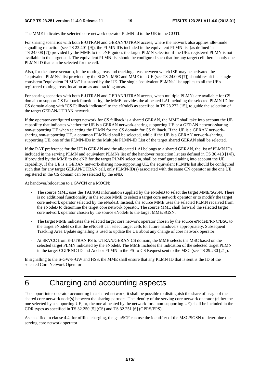The MME indicates the selected core network operator PLMN-id to the UE in the GUTI.

For sharing scenarios with both E-UTRAN and GERAN/UTRAN access, where the network also applies idle-mode signalling reduction (see TS 23.401 [9]), the PLMN IDs included in the equivalent PLMN list (as defined in TS 24.008 [7]) provided by the MME to the eNB guides the target PLMN selection if the UE's registered PLMN is not available in the target cell. The equivalent PLMN list should be configured such that for any target cell there is only one PLMN-ID that can be selected for the cell.

Also, for the above scenario, in the routing areas and tracking areas between which ISR may be activated the "equivalent PLMNs" list provided by the SGSN, MSC and MME to a UE (see TS 24.008 [7]) should result in a single consistent "equivalent PLMNs" list stored by the UE. The single "equivalent PLMNs" list applies to all the UE's registered routing areas, location areas and tracking areas.

For sharing scenarios with both E-UTRAN and GERAN/UTRAN access, when multiple PLMNs are available for CS domain to support CS Fallback functionality, the MME provides the allocated LAI including the selected PLMN ID for CS domain along with "CS Fallback indicator" to the eNodeB as specified in TS 23.272 [15], to guide the selection of the target GERAN/UTRAN network.

If the operator-configured target network for CS fallback is a shared GERAN, the MME shall take into account the UE capability that indicates whether the UE is a GERAN network-sharing supporting UE or a GERAN network-sharing non-supporting UE when selecting the PLMN for the CS domain for CS fallback. If the UE is a GERAN networksharing non-supporting UE, a common PLMN-id shall be selected, while if the UE is a GERAN network-sharing supporting UE, one of the PLMN-IDs in the Multiple PLMN-ID List of the target shared GERAN shall be selected.

If the RAT preference for the UE is GERAN and the allocated LAI belongs to a shared GERAN, the list of PLMN IDs included in the serving PLMN and equivalent PLMNs list of the handover restriction list (as defined in TS 36.413 [14]), if provided by the MME to the eNB for the target PLMN selection, shall be configured taking into account the UE capability. If the UE is a GERAN network-sharing non-supporting UE, the equivalent PLMNs list should be configured such that for any target GERAN/UTRAN cell, only PLMN-ID(s) associated with the same CN operator as the one UE registered in the CS domain can be selected by the eNB.

At handover/relocation to a GWCN or a MOCN:

- The source MME uses the TAI/RAI information supplied by the eNodeB to select the target MME/SGSN. There is no additional functionality in the source MME to select a target core network operator or to modify the target core network operator selected by the eNodeB. Instead, the source MME uses the selected PLMN received from the eNodeB to determine the target core network operator. The source MME shall forward the selected target core network operator chosen by the source eNodeB to the target MME/SGSN.
- The target MME indicates the selected target core network operator chosen by the source eNodeB/RNC/BSC to the target eNodeB so that the eNodeB can select target cells for future handovers appropriately. Subsequent Tracking Area Update signalling is used to update the UE about any change of core network operator.
- At SRVCC from E-UTRAN PS to UTRAN/GERAN CS domain, the MME selects the MSC based on the selected target PLMN indicated by the eNodeB. The MME includes the indication of the selected target PLMN in the target CGI/RNC ID and Anchor PLMN in the PS-to-CS Request sent to the MSC (see TS 29.280 [21]).

In signalling to the S-GW/P-GW and HSS, the MME shall ensure that any PLMN ID that is sent is the ID of the selected Core Network Operator.

# 6 Charging and accounting aspects

To support inter-operator accounting in a shared network, it shall be possible to distinguish the share of usage of the shared core network node(s) between the sharing partners. The identity of the serving core network operator (either the one selected by a supporting UE, or, the one allocated by the network for a non-supporting UE) shall be included in the CDR types as specified in TS 32.250 [5] (CS) and TS 32.251 [6] (GPRS/EPS).

As specified in clause 4.4, for offline charging, the gsmSCF can use the identifier of the MSC/SGSN to determine the serving core network operator.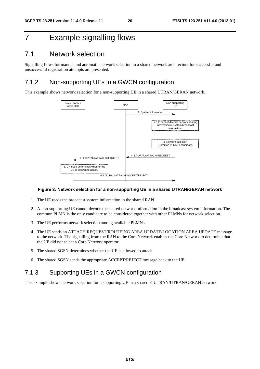# 7 Example signalling flows

### 7.1 Network selection

Signalling flows for manual and automatic network selection in a shared network architecture for successful and unsuccessful registration attempts are presented.

#### 7.1.2 Non-supporting UEs in a GWCN configuration

This example shows network selection for a non-supporting UE in a shared UTRAN/GERAN network.



#### **Figure 3: Network selection for a non-supporting UE in a shared UTRAN/GERAN network**

- 1. The UE reads the broadcast system information in the shared RAN.
- 2. A non-supporting UE cannot decode the shared network information in the broadcast system information. The common PLMN is the only candidate to be considered together with other PLMNs for network selection.
- 3. The UE performs network selection among available PLMNs.
- 4. The UE sends an ATTACH REQUEST/ROUTEING AREA UPDATE/LOCATION AREA UPDATE message to the network. The signalling from the RAN to the Core Network enables the Core Network to determine that the UE did not select a Core Network operator.
- 5. The shared SGSN determines whether the UE is allowed to attach.
- 6. The shared SGSN sends the appropriate ACCEPT/REJECT message back to the UE.

### 7.1.3 Supporting UEs in a GWCN configuration

This example shows network selection for a supporting UE in a shared E-UTRAN/UTRAN/GERAN network.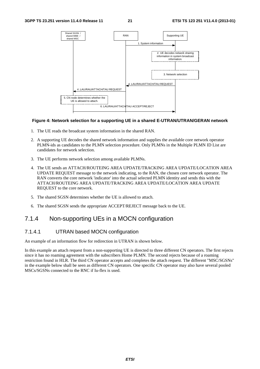

#### **Figure 4: Network selection for a supporting UE in a shared E-UTRAN/UTRAN/GERAN network**

- 1. The UE reads the broadcast system information in the shared RAN.
- 2. A supporting UE decodes the shared network information and supplies the available core network operator PLMN-ids as candidates to the PLMN selection procedure. Only PLMNs in the Multiple PLMN ID List are candidates for network selection.
- 3. The UE performs network selection among available PLMNs.
- 4. The UE sends an ATTACH/ROUTEING AREA UPDATE/TRACKING AREA UPDATE/LOCATION AREA UPDATE REQUEST message to the network indicating, to the RAN, the chosen core network operator. The RAN converts the core network 'indicator' into the actual selected PLMN identity and sends this with the ATTACH/ROUTEING AREA UPDATE/TRACKING AREA UPDATE/LOCATION AREA UPDATE REQUEST to the core network.
- 5. The shared SGSN determines whether the UE is allowed to attach.
- 6. The shared SGSN sends the appropriate ACCEPT/REJECT message back to the UE.

### 7.1.4 Non-supporting UEs in a MOCN configuration

#### 7.1.4.1 UTRAN based MOCN configuration

An example of an information flow for redirection in UTRAN is shown below.

In this example an attach request from a non-supporting UE is directed to three different CN operators. The first rejects since it has no roaming agreement with the subscribers Home PLMN. The second rejects because of a roaming restriction found in HLR. The third CN operator accepts and completes the attach request. The different "MSC/SGSNs" in the example below shall be seen as different CN operators. One specific CN operator may also have several pooled MSCs/SGSNs connected to the RNC if Iu-flex is used.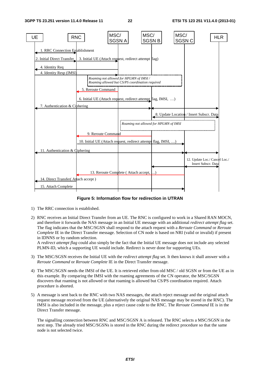

**Figure 5: Information flow for redirection in UTRAN** 

- 1) The RRC connection is established.
- 2) RNC receives an Initial Direct Transfer from an UE. The RNC is configured to work in a Shared RAN MOCN, and therefore it forwards the NAS message in an Initial UE message with an additional *redirect attempt flag* set. The flag indicates that the MSC/SGSN shall respond to the attach request with a *Reroute Command* or *Reroute Complete* IE in the Direct Transfer message. Selection of CN node is based on NRI (valid or invalid) if present in IDNNS or by random selection.

A *redirect attempt flag* could also simply be the fact that the Initial UE message does not include any selected PLMN-ID, which a supporting UE would include. Redirect is never done for supporting UEs.

- 3) The MSC/SGSN receives the Initial UE with the *redirect attempt flag* set. It then knows it shall answer with a *Reroute Command* or *Reroute Complete* IE in the Direct Transfer message.
- 4) The MSC/SGSN needs the IMSI of the UE. It is retrieved either from old MSC / old SGSN or from the UE as in this example. By comparing the IMSI with the roaming agreements of the CN operator, the MSC/SGSN discovers that roaming is not allowed or that roaming is allowed but CS/PS coordination required. Attach procedure is aborted.
- 5) A message is sent back to the RNC with two NAS messages, the attach reject message and the original attach request message received from the UE (alternatively the original NAS message may be stored in the RNC). The IMSI is also included in the message, plus a reject cause code to the RNC. The *Reroute Command* IE is in the Direct Transfer message.

The signalling connection between RNC and MSC/SGSN A is released. The RNC selects a MSC/SGSN in the next step. The already tried MSC/SGSNs is stored in the RNC during the redirect procedure so that the same node is not selected twice.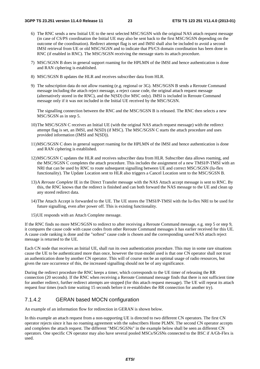- 6) The RNC sends a new Initial UE to the next selected MSC/SGSN with the original NAS attach request message (in case of CS/PS coordination the Initial UE may also be sent back to the first MSC/SGSN depending on the outcome of the coordination). Redirect attempt flag is set and IMSI shall also be included to avoid a second IMSI retrieval from UE or old MSC/SGSN and to indicate that PS/CS domain coordination has been done in RNC (if enabled in RNC). The MSC/SGSN receiving the message starts its attach procedure.
- 7) MSC/SGSN B does in general support roaming for the HPLMN of the IMSI and hence authentication is done and RAN ciphering is established.
- 8) MSC/SGSN B updates the HLR and receives subscriber data from HLR.
- 9) The subscription data do not allow roaming (e.g. regional or 3G). MSC/SGSN B sends a Reroute Command message including the attach reject message, a reject cause code, the original attach request message (alternatively stored in the RNC), and the N(SD) (for MSC only). IMSI is included in Reroute Command message only if it was not included in the Initial UE received by the MSC/SGSN.

The signalling connection between the RNC and the MSC/SGSN B is released. The RNC then selects a new MSC/SGSN as in step 5.

- 10) The MSC/SGSN C receives an Initial UE (with the original NAS attach request message) with the redirect attempt flag is set, an IMSI, and N(SD) (if MSC). The MSC/SGSN C starts the attach procedure and uses provided information (IMSI and N(SD)).
- 11) MSC/SGSN C does in general support roaming for the HPLMN of the IMSI and hence authentication is done and RAN ciphering is established.
- 12) MSC/SGSN C updates the HLR and receives subscriber data from HLR. Subscriber data allows roaming, and the MSC/SGSN C completes the attach procedure. This includes the assignment of a new TMSI/P-TMSI with an NRI that can be used by RNC to route subsequent signalling between UE and correct MSC/SGSN (Iu-flex functionality). The Update Location sent to HLR also triggers a Cancel Location sent to the MSC/SGSN B.
- 13) A *Reroute Complete* IE in the Direct Transfer message with the NAS Attach accept message is sent to RNC. By this, the RNC knows that the redirect is finished and can both forward the NAS message to the UE and clean up any stored redirect data.
- 14) The Attach Accept is forwarded to the UE. The UE stores the TMSI/P-TMSI with the Iu-flex NRI to be used for future signalling, even after power off. This is existing functionality.
- 15) UE responds with an Attach Complete message.

If the RNC finds no more MSC/SGSN to redirect to after receiving a Reroute Command message, e.g. step 5 or step 9, it compares the cause code with cause codes from other Reroute Command messages it has earlier received for this UE. A cause code ranking is done and the "softest" cause code is chosen and the corresponding saved NAS attach reject message is returned to the UE.

Each CN node that receives an Initial UE, shall run its own authentication procedure. This may in some rare situations cause the UE to be authenticated more than once, however the trust-model used is that one CN operator shall not trust an authentication done by another CN operator. This will of course not be an optimal usage of radio resources, but given the rare occurrence of this, the increased signalling should not be of any significance.

During the redirect procedure the RNC keeps a timer, which corresponds to the UE timer of releasing the RR connection (20 seconds). If the RNC when receiving a Reroute Command message finds that there is not sufficient time for another redirect, further redirect attempts are stopped (for this attach request message). The UE will repeat its attach request four times (each time waiting 15 seconds before it re-establishes the RR connection for another try).

#### 7.1.4.2 GERAN based MOCN configuration

An example of an information flow for redirection in GERAN is shown below.

In this example an attach request from a non-supporting UE is directed to two different CN operators. The first CN operator rejects since it has no roaming agreement with the subscribers Home PLMN. The second CN operator accepts and completes the attach request. The different "MSC/SGSNs" in the example below shall be seen as different CN operators. One specific CN operator may also have several pooled MSCs/SGSNs connected to the BSC if A/Gb-Flex is used.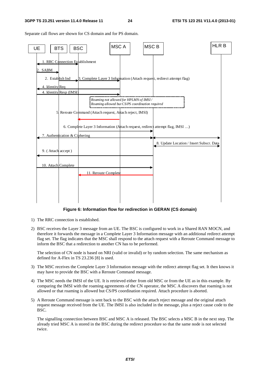Separate call flows are shown for CS domain and for PS domain.



#### **Figure 6: Information flow for redirection in GERAN (CS domain)**

- 1) The RRC connection is established.
- 2) BSC receives the Layer 3 message from an UE. The BSC is configured to work in a Shared RAN MOCN, and therefore it forwards the message in a Complete Layer 3 Information message with an additional redirect attempt flag set. The flag indicates that the MSC shall respond to the attach request with a Reroute Command message to inform the BSC that a redirection to another CN has to be performed.

 The selection of CN node is based on NRI (valid or invalid) or by random selection. The same mechanism as defined for A-Flex in TS 23.236 [8] is used.

- 3) The MSC receives the Complete Layer 3 Information message with the redirect attempt flag set. It then knows it may have to provide the BSC with a Reroute Command message.
- 4) The MSC needs the IMSI of the UE. It is retrieved either from old MSC or from the UE as in this example. By comparing the IMSI with the roaming agreements of the CN operator, the MSC A discovers that roaming is not allowed or that roaming is allowed but CS/PS coordination required. Attach procedure is aborted.
- 5) A Reroute Command message is sent back to the BSC with the attach reject message and the original attach request message received from the UE. The IMSI is also included in the message, plus a reject cause code to the BSC.

 The signalling connection between BSC and MSC A is released. The BSC selects a MSC B in the next step. The already tried MSC A is stored in the BSC during the redirect procedure so that the same node is not selected twice.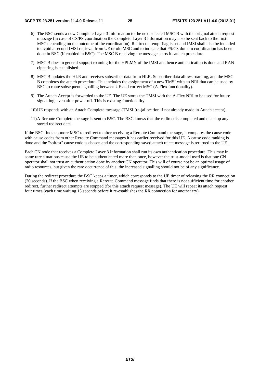- 6) The BSC sends a new Complete Layer 3 Information to the next selected MSC B with the original attach request message (in case of CS/PS coordination the Complete Layer 3 Information may also be sent back to the first MSC depending on the outcome of the coordination). Redirect attempt flag is set and IMSI shall also be included to avoid a second IMSI retrieval from UE or old MSC and to indicate that PS/CS domain coordination has been done in BSC (if enabled in BSC). The MSC B receiving the message starts its attach procedure.
- 7) MSC B does in general support roaming for the HPLMN of the IMSI and hence authentication is done and RAN ciphering is established.
- 8) MSC B updates the HLR and receives subscriber data from HLR. Subscriber data allows roaming, and the MSC B completes the attach procedure. This includes the assignment of a new TMSI with an NRI that can be used by BSC to route subsequent signalling between UE and correct MSC (A-Flex functionality).
- 9) The Attach Accept is forwarded to the UE. The UE stores the TMSI with the A-Flex NRI to be used for future signalling, even after power off. This is existing functionality.
- 10) UE responds with an Attach Complete message (TMSI (re-)allocation if not already made in Attach accept).
- 11) A Reroute Complete message is sent to BSC. The BSC knows that the redirect is completed and clean up any stored redirect data.

If the BSC finds no more MSC to redirect to after receiving a Reroute Command message, it compares the cause code with cause codes from other Reroute Command messages it has earlier received for this UE. A cause code ranking is done and the "softest" cause code is chosen and the corresponding saved attach reject message is returned to the UE.

Each CN node that receives a Complete Layer 3 Information shall run its own authentication procedure. This may in some rare situations cause the UE to be authenticated more than once, however the trust-model used is that one CN operator shall not trust an authentication done by another CN operator. This will of course not be an optimal usage of radio resources, but given the rare occurrence of this, the increased signalling should not be of any significance.

During the redirect procedure the BSC keeps a timer, which corresponds to the UE timer of releasing the RR connection (20 seconds). If the BSC when receiving a Reroute Command message finds that there is not sufficient time for another redirect, further redirect attempts are stopped (for this attach request message). The UE will repeat its attach request four times (each time waiting 15 seconds before it re-establishes the RR connection for another try).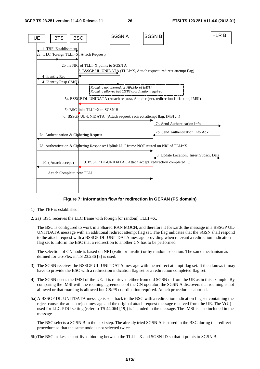

#### **Figure 7: Information flow for redirection in GERAN (PS domain)**

- 1) The TBF is established.
- 2, 2a) BSC receives the LLC frame with foreign [or random] TLLI =X.

 The BSC is configured to work in a Shared RAN MOCN, and therefore it forwards the message in a BSSGP UL-UNITDATA message with an additional redirect attempt flag set. The flag indicates that the SGSN shall respond to the attach request with a BSSGP DL-UNITDATA message providing when relevant a redirection indication flag set to inform the BSC that a redirection to another CN has to be performed.

 The selection of CN node is based on NRI (valid or invalid) or by random selection. The same mechanism as defined for Gb-Flex in TS 23.236 [8] is used.

- 3) The SGSN receives the BSSGP UL-UNITDATA message with the redirect attempt flag set. It then knows it may have to provide the BSC with a redirection indication flag set or a redirection completed flag set.
- 4) The SGSN needs the IMSI of the UE. It is retrieved either from old SGSN or from the UE as in this example. By comparing the IMSI with the roaming agreements of the CN operator, the SGSN A discovers that roaming is not allowed or that roaming is allowed but CS/PS coordination required. Attach procedure is aborted.
- 5a) A BSSGP DL-UNITDATA message is sent back to the BSC with a redirection indication flag set containing the reject cause, the attach reject message and the original attach request message received from the UE. The V(U) used for LLC-PDU setting (refer to TS 44.064 [19]) is included in the message. The IMSI is also included in the message.

 The BSC selects a SGSN B in the next step. The already tried SGSN A is stored in the BSC during the redirect procedure so that the same node is not selected twice.

5b) The BSC makes a short-lived binding between the TLLI =X and SGSN ID so that it points to SGSN B.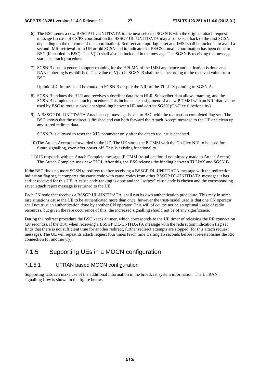- 6) The BSC sends a new BSSGP UL-UNITDATA to the next selected SGSN B with the original attach request message (in case of CS/PS coordination the BSSGP UL-UNITDATA may also be sent back to the first SGSN depending on the outcome of the coordination). Redirect attempt flag is set and IMSI shall be included to avoid a second IMSI retrieval from UE or old SGSN and to indicate that PS/CS domain coordination has been done in BSC (if enabled in BSC). The V(U) shall also be included in the message. The SGSN B receiving the message starts its attach procedure.
- 7) SGSN B does in general support roaming for the HPLMN of the IMSI and hence authentication is done and RAN ciphering is established. The value of V(U) in SGSN-B shall be set according to the received value from BSC.

Uplink LLC frames shall be routed to SGSN B despite the NRI of the TLLI=X pointing to SGSN A.

- 8) SGSN B updates the HLR and receives subscriber data from HLR. Subscriber data allows roaming, and the SGSN B completes the attach procedure. This includes the assignment of a new P-TMSI with an NRI that can be used by BSC to route subsequent signalling between UE and correct SGSN (Gb-Flex functionality).
- 9) A BSSGP DL-UNITDATA Attach accept message is sent to BSC with the redirection completed flag set . The BSC knows that the redirect is finished and can both forward the Attach Accept message to the UE and clean up any stored redirect data.
	- SGSN B is allowed to reset the XID parameter only after the attach request is accepted.
- 10) The Attach Accept is forwarded to the UE. The UE stores the P-TMSI with the Gb-Flex NRI to be used for future signalling, even after power off. This is existing functionality.
- 11) UE responds with an Attach Complete message (P-TMSI (re-)allocation if not already made in Attach Accept). The Attach Complete uses new TLLI. After this, the BSS releases the binding between TLLI=X and SGSN B.

If the BSC finds no more SGSN to redirect to after receiving a BSSGP DL-UNITDATA message with the redirection indication flag set, it compares the cause code with cause codes from other BSSGP DL-UNITDATA messages it has earlier received for this UE. A cause code ranking is done and the "softest" cause code is chosen and the corresponding saved attach reject message is returned to the UE.

Each CN node that receives a BSSGP UL-UNITDATA, shall run its own authentication procedure. This may in some rare situations cause the UE to be authenticated more than once, however the trust-model used is that one CN operator shall not trust an authentication done by another CN operator. This will of course not be an optimal usage of radio resources, but given the rare occurrence of this, the increased signalling should not be of any significance.

During the redirect procedure the BSC keeps a timer, which corresponds to the UE timer of releasing the RR connection (20 seconds). If the BSC when receiving a BSSGP DL-UNITDATA message with the redirection indication flag set finds that there is not sufficient time for another redirect, further redirect attempts are stopped (for this attach request message). The UE will repeat its attach request four times (each time waiting 15 seconds before it re-establishes the RR connection for another try).

### 7.1.5 Supporting UEs in a MOCN configuration

#### 7.1.5.1 UTRAN based MOCN configuration

Supporting UEs can make use of the additional information in the broadcast system information. The UTRAN signalling flow is shown in the figure below.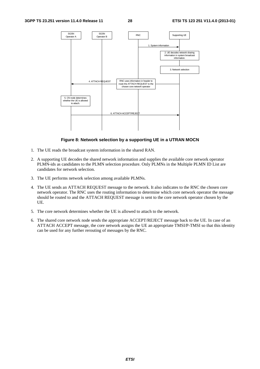

#### **Figure 8: Network selection by a supporting UE in a UTRAN MOCN**

- 1. The UE reads the broadcast system information in the shared RAN.
- 2. A supporting UE decodes the shared network information and supplies the available core network operator PLMN-ids as candidates to the PLMN selection procedure. Only PLMNs in the Multiple PLMN ID List are candidates for network selection.
- 3. The UE performs network selection among available PLMNs.
- 4. The UE sends an ATTACH REQUEST message to the network. It also indicates to the RNC the chosen core network operator. The RNC uses the routing information to determine which core network operator the message should be routed to and the ATTACH REQUEST message is sent to the core network operator chosen by the UE.
- 5. The core network determines whether the UE is allowed to attach to the network.
- 6. The shared core network node sends the appropriate ACCEPT/REJECT message back to the UE. In case of an ATTACH ACCEPT message, the core network assigns the UE an appropriate TMSI/P-TMSI so that this identity can be used for any further rerouting of messages by the RNC.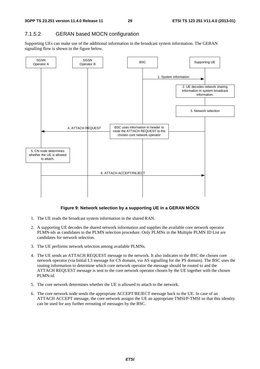#### 7.1.5.2 GERAN based MOCN configuration

Supporting UEs can make use of the additional information in the broadcast system information. The GERAN signalling flow is shown in the figure below.



#### **Figure 9: Network selection by a supporting UE in a GERAN MOCN**

- 1. The UE reads the broadcast system information in the shared RAN.
- 2. A supporting UE decodes the shared network information and supplies the available core network operator PLMN-ids as candidates to the PLMN selection procedure. Only PLMNs in the Multiple PLMN ID List are candidates for network selection.
- 3. The UE performs network selection among available PLMNs.
- 4. The UE sends an ATTACH REQUEST message to the network. It also indicates to the BSC the chosen core network operator (via Initial L3 message for CS domain, via AS signalling for the PS domain). The BSC uses the routing information to determine which core network operator the message should be routed to and the ATTACH REQUEST message is sent to the core network operator chosen by the UE together with the chosen PLMN-id.
- 5. The core network determines whether the UE is allowed to attach to the network.
- 6. The core network node sends the appropriate ACCEPT/REJECT message back to the UE. In case of an ATTACH ACCEPT message, the core network assigns the UE an appropriate TMSI/P-TMSI so that this identity can be used for any further rerouting of messages by the BSC.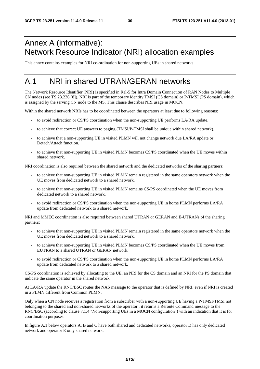# Annex A (informative): Network Resource Indicator (NRI) allocation examples

This annex contains examples for NRI co-ordination for non-supporting UEs in shared networks.

# A.1 NRI in shared UTRAN/GERAN networks

The Network Resource Identifier (NRI) is specified in Rel-5 for Intra Domain Connection of RAN Nodes to Multiple CN nodes (see TS 23.236 [8]). NRI is part of the temporary identity TMSI (CS domain) or P-TMSI (PS domain), which is assigned by the serving CN node to the MS. This clause describes NRI usage in MOCN.

Within the shared network NRIs has to be coordinated between the operators at least due to following reasons:

- to avoid redirection or CS/PS coordination when the non-supporting UE performs LA/RA update.
- to achieve that correct UE answers to paging (TMSI/P-TMSI shall be unique within shared network).
- to achieve that a non-supporting UE in visited PLMN will not change network due LA/RA update or Detach/Attach function.
- to achieve that non-supporting UE in visited PLMN becomes CS/PS coordinated when the UE moves within shared network.

NRI coordination is also required between the shared network and the dedicated networks of the sharing partners:

- to achieve that non-supporting UE in visited PLMN remain registered in the same operators network when the UE moves from dedicated network to a shared network.
- to achieve that non-supporting UE in visited PLMN remains CS/PS coordinated when the UE moves from dedicated network to a shared network.
- to avoid redirection or CS/PS coordination when the non-supporting UE in home PLMN performs LA/RA update from dedicated network to a shared network.

NRI and MMEC coordination is also required between shared UTRAN or GERAN and E-UTRANs of the sharing partners:

- to achieve that non-supporting UE in visited PLMN remain registered in the same operators network when the UE moves from dedicated network to a shared network.
- to achieve that non-supporting UE in visited PLMN becomes CS/PS coordinated when the UE moves from EUTRAN to a shared UTRAN or GERAN network.
- to avoid redirection or CS/PS coordination when the non-supporting UE in home PLMN performs LA/RA update from dedicated network to a shared network.

CS/PS coordination is achieved by allocating to the UE, an NRI for the CS domain and an NRI for the PS domain that indicate the same operator in the shared network.

At LA/RA update the RNC/BSC routes the NAS message to the operator that is defined by NRI, even if NRI is created in a PLMN different from Common PLMN.

Only when a CN node receives a registration from a subscriber with a non-supporting UE having a P-TMSI/TMSI not belonging to the shared and non-shared networks of the operator , it returns a Reroute Command message to the RNC/BSC (according to clause 7.1.4 "Non-supporting UEs in a MOCN configuration") with an indication that it is for coordination purposes.

In figure A.1 below operators A, B and C have both shared and dedicated networks, operator D has only dedicated network and operator E only shared network.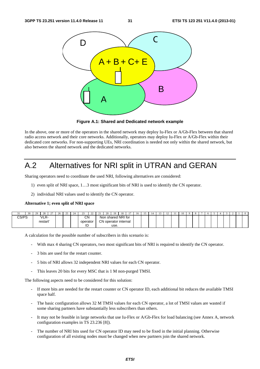

**Figure A.1: Shared and Dedicated network example** 

In the above, one or more of the operators in the shared network may deploy Iu-Flex or A/Gb-Flex between that shared radio access network and their core networks. Additionally, operators may deploy Iu-Flex or A/Gb-Flex within their dedicated core networks. For non-supporting UEs, NRI coordination is needed not only within the shared network, but also between the shared network and the dedicated networks.

# A.2 Alternatives for NRI split in UTRAN and GERAN

Sharing operators need to coordinate the used NRI, following alternatives are considered:

- 1) even split of NRI space, 1…3 most significant bits of NRI is used to identify the CN operator.
- 2) individual NRI values used to identify the CN operator.

#### **Alternative 1; even split of NRI space**

| JІ   |        | د ڪ | 28       | $\sim$<br><b>L</b> | 26 | $-$ | --       | $\sim$<br>∠∠ | $\sim$<br>ن سک | 20                   | 19   | 1 O<br>10        |  | 10 | . . | $\sim$<br>. | $\overline{1}$ | 10 |  | <sup>n</sup> |  |  |  |
|------|--------|-----|----------|--------------------|----|-----|----------|--------------|----------------|----------------------|------|------------------|--|----|-----|-------------|----------------|----|--|--------------|--|--|--|
| CCDC | ت⊤ /ت∪ |     | 'VLR-    |                    |    |     | CΝ       |              | Non            |                      |      | i shared NRI for |  |    |     |             |                |    |  |              |  |  |  |
|      |        |     | restart' |                    |    |     | operator |              |                | CN operator internal |      |                  |  |    |     |             |                |    |  |              |  |  |  |
|      |        |     |          |                    |    |     | ID       |              |                |                      | use. |                  |  |    |     |             |                |    |  |              |  |  |  |

A calculation for the possible number of subscribers in this scenario is:

- With max 4 sharing CN operators, two most significant bits of NRI is required to identify the CN operator.
- 3 bits are used for the restart counter.
- 5 bits of NRI allows 32 independent NRI values for each CN operator.
- This leaves 20 bits for every MSC that is 1 M non-purged TMSI.

The following aspects need to be considered for this solution:

- If more bits are needed for the restart counter or CN operator ID, each additional bit reduces the available TMSI space half.
- The basic configuration allows 32 M TMSI values for each CN operator, a lot of TMSI values are wasted if some sharing partners have substantially less subscribers than others.
- It may not be feasible in large networks that use Iu-Flex or A/Gb-Flex for load balancing (see Annex A, network configuration examples in TS 23.236 [8]).
- The number of NRI bits used for CN operator ID may need to be fixed in the initial planning. Otherwise configuration of all existing nodes must be changed when new partners join the shared network.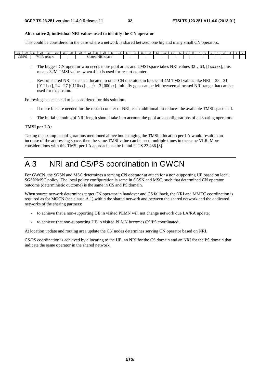#### **Alternative 2; individual NRI values used to identify the CN operator**

This could be considered in the case where a network is shared between one big and many small CN operators.

| $\sim$<br>30.       | $\alpha$ | $\sim$ $\sim$ | $\sim$   | Zh | $\sim$ $\sim$ | . . | -- | $\sim$<br>ے ت                     |  | 20 |  |  | -16 | 14 | . . |  |  |  | n |  |  |  |
|---------------------|----------|---------------|----------|----|---------------|-----|----|-----------------------------------|--|----|--|--|-----|----|-----|--|--|--|---|--|--|--|
| $C$ s $D$ s<br>ں رن |          | 15.77         | K-restan |    |               |     |    | Shared<br>. <i>.</i><br>NRI space |  |    |  |  |     |    |     |  |  |  |   |  |  |  |

- The biggest CN operator who needs more pool areas and TMSI space takes NRI values 32...63, [1xxxxx], this means 32M TMSI values when 4 bit is used for restart counter.
- Rest of shared NRI space is allocated to other CN operators in blocks of 4M TMSI values like NRI = 28 31  $[0111xx]$ , 24 - 27  $[0110xx]$  ....  $0-3$   $[000xx]$ . Initially gaps can be left between allocated NRI range that can be used for expansion.

Following aspects need to be considered for this solution:

- If more bits are needed for the restart counter or NRI, each additional bit reduces the available TMSI space half.
- The initial planning of NRI length should take into account the pool area configurations of all sharing operators.

#### **TMSI per LA:**

Taking the example configurations mentioned above but changing the TMSI allocation per LA would result in an increase of the addressing space, then the same TMSI value can be used multiple times in the same VLR. More considerations with this TMSI per LA approach can be found in TS 23.236 [8].

# A.3 NRI and CS/PS coordination in GWCN

For GWCN, the SGSN and MSC determines a serving CN operator at attach for a non-supporting UE based on local SGSN/MSC policy. The local policy configuration is same in SGSN and MSC, such that determined CN operator outcome (deterministic outcome) is the same in CS and PS domain.

When source network determines target CN operator in handover and CS fallback, the NRI and MMEC coordination is required as for MOCN (see clause A.1) within the shared network and between the shared network and the dedicated networks of the sharing partners:

- to achieve that a non-supporting UE in visited PLMN will not change network due LA/RA update;
- to achieve that non-supporting UE in visited PLMN becomes CS/PS coordinated.

At location update and routing area update the CN nodes determines serving CN operator based on NRI.

CS/PS coordination is achieved by allocating to the UE, an NRI for the CS domain and an NRI for the PS domain that indicate the same operator in the shared network.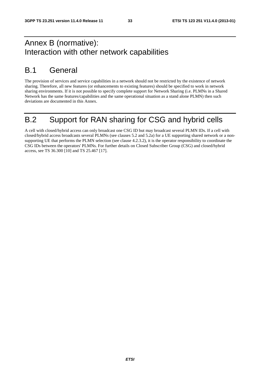# Annex B (normative): Interaction with other network capabilities

# B.1 General

The provision of services and service capabilities in a network should not be restricted by the existence of network sharing. Therefore, all new features (or enhancements to existing features) should be specified to work in network sharing environments. If it is not possible to specify complete support for Network Sharing (i.e. PLMNs in a Shared Network has the same features/capabilities and the same operational situation as a stand alone PLMN) then such deviations are documented in this Annex.

# B.2 Support for RAN sharing for CSG and hybrid cells

A cell with closed/hybrid access can only broadcast one CSG ID but may broadcast several PLMN IDs. If a cell with closed/hybrid access broadcasts several PLMNs (see clauses 5.2 and 5.2a) for a UE supporting shared network or a nonsupporting UE that performs the PLMN selection (see clause 4.2.3.2), it is the operator responsibility to coordinate the CSG IDs between the operators' PLMNs. For further details on Closed Subscriber Group (CSG) and closed/hybrid access, see TS 36.300 [10] and TS 25.467 [17].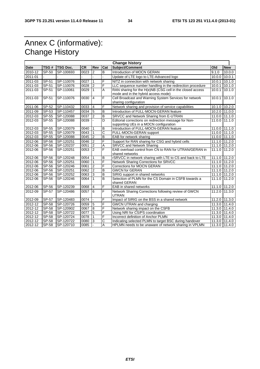# Annex C (informative): Change History

|             | <b>Change history</b> |                 |           |                |                       |                                                                                                  |        |                   |  |  |  |  |
|-------------|-----------------------|-----------------|-----------|----------------|-----------------------|--------------------------------------------------------------------------------------------------|--------|-------------------|--|--|--|--|
| <b>Date</b> | TSG#                  | <b>TSG Doc.</b> | <b>CR</b> | Rev            | Cat                   | Subject/Comment                                                                                  | Old    | <b>New</b>        |  |  |  |  |
| 2010-12     | SP-50                 | SP-100693       | 0023      | $\overline{2}$ | B                     | Introduction of MOCN GERAN                                                                       | 9.1.0  | 10.0.0            |  |  |  |  |
| 2011-01     |                       |                 |           |                |                       | Update of LTE logo to LTE-Advanced logo                                                          | 10.0.0 | 10.0.1            |  |  |  |  |
| 2011-03     | SP-51                 | SP-110076       | 0027      | $\mathbf{1}$   | F                     | NITZ in connection with network sharing                                                          |        | $10.0.1$ 10.1.0   |  |  |  |  |
| 2011-03     | SP-51                 | SP-110076       | 0028      | $\overline{2}$ | F                     | LLC sequence number handling in the redirection procedure                                        | 10.0.1 | 10.1.0            |  |  |  |  |
| 2011-03     | SP-51                 | SP-110061       | 0029      |                | A                     | RAN sharing for the H(e)NB (CSG cell in the closed access<br>mode and in the hybrid access mode) |        | $10.0.1$ 10.1.0   |  |  |  |  |
| 2011-03     | $SP-51$               | SP-110076       | 0030      | $\overline{4}$ | F                     | Cell Broadcast and Warning System Services for network<br>sharing configuration                  | 10.0.1 | 10.1.0            |  |  |  |  |
| 2011-06     | SP-52                 | SP-110432       | 0033      | $\overline{4}$ | F                     | Network sharing and provision of service capabilities                                            |        | 10.1.0 10.2.0     |  |  |  |  |
| 2011-09     | SP-53                 | SP-110457       | 0034      | 5              | $\overline{B}$        | Introduction of FULL-MOCN-GERAN feature                                                          |        | 10.2.0 11.0.0     |  |  |  |  |
| 2012-03     | SP-55                 | SP-120088       | 0037      | $\overline{2}$ | B                     | SRVCC and Network Sharing from E-UTRAN                                                           |        | 11.0.0 111.1.0    |  |  |  |  |
| 2012-03     | SP-55                 | SP-120088       | 0039      |                | D                     | Editorial corrections on redirection message for Non-<br>supporting UEs in a MOCN configuration  |        | 11.0.0 111.1.0    |  |  |  |  |
| 2012-03     | SP-55                 | SP-120079       | 0040      | 1              | B                     | Introduction of FULL-MOCN-GERAN feature                                                          |        | 11.0.0 11.1.0     |  |  |  |  |
| 2012-03     | SP-55                 | SP-120079       | 0043      |                | $\overline{\text{c}}$ | FULL-MOCN-GERAN support                                                                          |        | 11.0.0 111.1.0    |  |  |  |  |
| 2012-03     | SP-55                 | SP-120088       | 0045      | $\overline{2}$ | B                     | EAB for network sharing                                                                          |        | $11.0.0$ $11.1.0$ |  |  |  |  |
| 2012-06     | SP-56                 | SP-120251       | 0046      | $\overline{2}$ | F                     | Support for RAN sharing for CSG and hybrid cells                                                 |        | 11.1.0 11.2.0     |  |  |  |  |
| 2012-06     | SP-56                 | SP-120237       | 0051      | $\overline{2}$ | Α                     | <b>SRVCC and Network Sharing</b>                                                                 |        | 11.1.0 11.2.0     |  |  |  |  |
| 2012-06     | SP-56                 | SP-120251       | 0053      | $\overline{2}$ | F                     | EAB overload control from CN to RAN for UTRAN/GERAN in<br>shared networks                        | 11.1.0 | 11.2.0            |  |  |  |  |
| 2012-06     | SP-56                 | SP-120248       | 0054      | 1              | B                     | rSRVCC in network sharing with LTE to CS and back to LTE                                         |        | 11.1.0 11.2.0     |  |  |  |  |
| 2012-06     | <b>SP-56</b>          | SP-120251       | 0060      | 1              | F                     | <b>Network Sharing Corrections for SRVCC</b>                                                     |        | 11.1.0 11.2.0     |  |  |  |  |
| 2012-06     | SP-56                 | SP-120246       | 0061      | $\overline{2}$ | F                     | <b>Corrections for MOCN GERAN</b>                                                                |        | 11.1.0 11.2.0     |  |  |  |  |
| 2012-06     | SP-56                 | SP-120251       | 0062      | $\overline{2}$ | B                     | <b>GWCN for GERAN</b>                                                                            |        | 11.1.0 11.2.0     |  |  |  |  |
| 2012-06     | SP-56                 | SP-120252       | 0063      | 3              | B                     | SIRIG support in shared networks                                                                 |        | 11.1.0 11.2.0     |  |  |  |  |
| 2012-06     | SP-56                 | SP-120246       | 0064      |                | B                     | Selection of PLMN for the CS Domain in CSFB towards a<br>shared GERAN                            | 11.1.0 | 11.2.0            |  |  |  |  |
| 2012-06     | SP-56                 | SP-120239       | 0068      | $\overline{4}$ | F                     | EAB in shared networks                                                                           |        | 11.1.0 11.2.0     |  |  |  |  |
| 2012-09     | SP-57                 | SP-120486       | 0057      | 6              | F                     | Network Sharing Corrections following review of GWCN<br><b>UTRAN</b>                             |        | 11.2.0 11.3.0     |  |  |  |  |
| 2012-09     | <b>SP-57</b>          | SP-120483       | 0074      |                | F                     | Impact of SIRIG on the BSS in a shared network                                                   |        | 11.2.0 11.3.0     |  |  |  |  |
| 2012-12     | <b>SP-58</b>          | SP-120726       | 0059      | 5              | F                     | <b>GWCN UTRAN and charging</b>                                                                   |        | 11.3.0 11.4.0     |  |  |  |  |
| 2012-12     | SP-58                 | SP-120902       | 0067      | 8              | F                     | Network sharing impact on the CSFB                                                               | 11.3.0 | 11.4.0            |  |  |  |  |
| 2012-12     | SP-58                 | SP-120722       | 0077      | 5              | F                     | Using NRI for CS/PS coordination                                                                 | 11.3.0 | 11.4.0            |  |  |  |  |
| $2012 - 12$ | SP-58                 | SP-120724       | 0078      |                | F                     | Incorrect definition of Anchor PLMN                                                              | 11.3.0 | 11.4.0            |  |  |  |  |
| 2012-12     | SP-58                 | SP-120722       | 0080      | 3              | C                     | Indicating selected PLMN to target BSC during handover                                           |        | 11.3.0 11.4.0     |  |  |  |  |
| 2012-12     | <b>SP-58</b>          | SP-120710       | 0085      |                | A                     | HPLMN needs to be unaware of network sharing in VPLMN                                            |        | 11.3.0 11.4.0     |  |  |  |  |